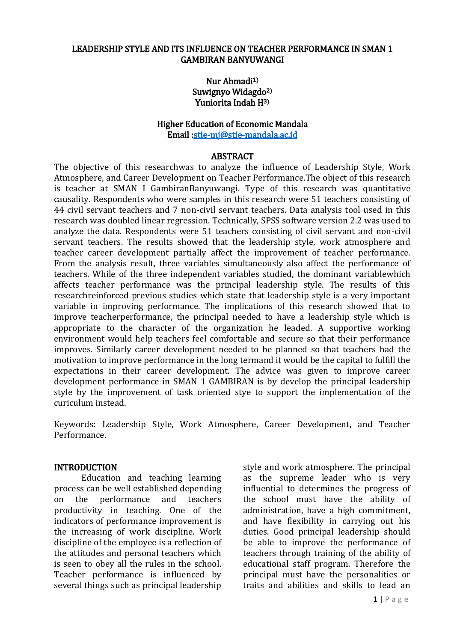#### LEADERSHIP STYLE AND ITS INFLUENCE ON TEACHER PERFORMANCE IN SMAN 1 GAMBIRAN BANYUWANGI

#### Nur Ahmadi1) Suwignyo Widagdo<sup>2)</sup> Yuniorita Indah H3)

#### Higher Education of Economic Mandala Email [:stie-mj@stie-mandala.ac.id](mailto:stie-mj@stie-mandala.ac.id)

#### ABSTRACT

The objective of this researchwas to analyze the influence of Leadership Style, Work Atmosphere, and Career Development on Teacher Performance.The object of this research is teacher at SMAN I GambiranBanyuwangi. Type of this research was quantitative causality. Respondents who were samples in this research were 51 teachers consisting of 44 civil servant teachers and 7 non-civil servant teachers. Data analysis tool used in this research was doubled linear regression. Technically, SPSS software version 2.2 was used to analyze the data. Respondents were 51 teachers consisting of civil servant and non-civil servant teachers. The results showed that the leadership style, work atmosphere and teacher career development partially affect the improvement of teacher performance. From the analysis result, three variables simultaneously also affect the performance of teachers. While of the three independent variables studied, the dominant variablewhich affects teacher performance was the principal leadership style. The results of this researchreinforced previous studies which state that leadership style is a very important variable in improving performance. The implications of this research showed that to improve teacherperformance, the principal needed to have a leadership style which is appropriate to the character of the organization he leaded. A supportive working environment would help teachers feel comfortable and secure so that their performance improves. Similarly career development needed to be planned so that teachers had the motivation to improve performance in the long termand it would be the capital to fulfill the expectations in their career development. The advice was given to improve career development performance in SMAN 1 GAMBIRAN is by develop the principal leadership style by the improvement of task oriented stye to support the implementation of the curiculum instead.

Keywords: Leadership Style, Work Atmosphere, Career Development, and Teacher Performance.

#### INTRODUCTION

Education and teaching learning process can be well established depending on the performance and teachers productivity in teaching. One of the indicators of performance improvement is the increasing of work discipline. Work discipline of the employee is a reflection of the attitudes and personal teachers which is seen to obey all the rules in the school. Teacher performance is influenced by several things such as principal leadership

style and work atmosphere. The principal as the supreme leader who is very influential to determines the progress of the school must have the ability of administration, have a high commitment, and have flexibility in carrying out his duties. Good principal leadership should be able to improve the performance of teachers through training of the ability of educational staff program. Therefore the principal must have the personalities or traits and abilities and skills to lead an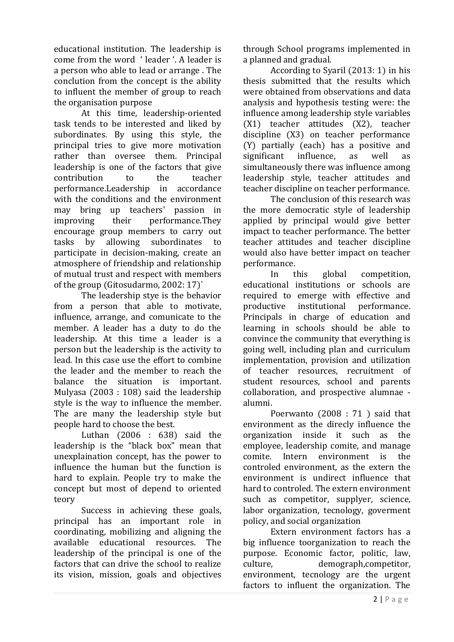educational institution. The leadership is come from the word ' leader '. A leader is a person who able to lead or arrange . The conclution from the concept is the ability to influent the member of group to reach the organisation purpose

At this time, leadership-oriented task tends to be interested and liked by subordinates. By using this style, the principal tries to give more motivation rather than oversee them. Principal leadership is one of the factors that give contribution to the teacher performance.Leadership in accordance with the conditions and the environment may bring up teachers' passion in improving their performance.They encourage group members to carry out tasks by allowing subordinates to participate in decision-making, create an atmosphere of friendship and relationship of mutual trust and respect with members of the group (Gitosudarmo, 2002: 17)`

The leadership stye is the behavior from a person that able to motivate, influence, arrange, and comunicate to the member. A leader has a duty to do the leadership. At this time a leader is a person but the leadership is the activity to lead. In this case use the effort to combine the leader and the member to reach the balance the situation is important. Mulyasa (2003 : 108) said the leadership style is the way to influence the member. The are many the leadership style but people hard to choose the best.

Luthan (2006 : 638) said the leadership is the "black box" mean that unexplaination concept, has the power to influence the human but the function is hard to explain. People try to make the concept but most of depend to oriented teory

Success in achieving these goals, principal has an important role in coordinating, mobilizing and aligning the available educational resources. The leadership of the principal is one of the factors that can drive the school to realize its vision, mission, goals and objectives through School programs implemented in a planned and gradual.

According to Syaril (2013: 1) in his thesis submitted that the results which were obtained from observations and data analysis and hypothesis testing were: the influence among leadership style variables (X1) teacher attitudes (X2), teacher discipline (X3) on teacher performance  $(Y)$  partially (each) has a positive and<br>significant influence. as well as significant influence, as well as simultaneously there was influence among leadership style, teacher attitudes and teacher discipline on teacher performance.

The conclusion of this research was the more democratic style of leadership applied by principal would give better impact to teacher performance. The better teacher attitudes and teacher discipline would also have better impact on teacher performance.

In this global competition, educational institutions or schools are required to emerge with effective and productive institutional performance. Principals in charge of education and learning in schools should be able to convince the community that everything is going well, including plan and curriculum implementation, provision and utilization of teacher resources, recruitment of student resources, school and parents collaboration, and prospective alumnae alumni.

Poerwanto (2008 : 71 ) said that environment as the direcly influence the organization inside it such as the employee, leadership comite, and manage comite. Intern environment is the controled environment, as the extern the environment is undirect influence that hard to controled. The extern environment such as competitor, supplyer, science, labor organization, tecnology, goverment policy, and social organization

Extern environment factors has a big influence toorganization to reach the purpose. Economic factor, politic, law, culture, demograph,competitor, environment, tecnology are the urgent factors to influent the organization. The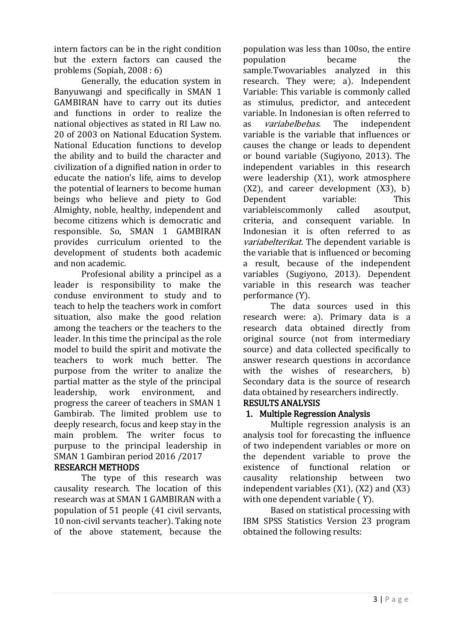intern factors can be in the right condition but the extern factors can caused the problems (Sopiah, 2008 : 6)

Generally, the education system in Banyuwangi and specifically in SMAN 1 GAMBIRAN have to carry out its duties and functions in order to realize the national objectives as stated in RI Law no. 20 of 2003 on National Education System. National Education functions to develop the ability and to build the character and civilization of a dignified nation in order to educate the nation's life, aims to develop the potential of learners to become human beings who believe and piety to God Almighty, noble, healthy, independent and become citizens which is democratic and responsible. So, SMAN 1 GAMBIRAN provides curriculum oriented to the development of students both academic and non academic.

Profesional ability a principel as a leader is responsibility to make the conduse environment to study and to teach to help the teachers work in comfort situation, also make the good relation among the teachers or the teachers to the leader. In this time the principal as the role model to build the spirit and motivate the teachers to work much better. The purpose from the writer to analize the partial matter as the style of the principal leadership, work environment, and progress the career of teachers in SMAN 1 Gambirab. The limited problem use to deeply research, focus and keep stay in the main problem. The writer focus to purpuse to the principal leadership in SMAN 1 Gambiran period 2016 /2017

# RESEARCH METHODS

The type of this research was causality research. The location of this research was at SMAN 1 GAMBIRAN with a population of 51 people (41 civil servants, 10 non-civil servants teacher). Taking note of the above statement, because the

population was less than 100so, the entire population became the sample.Twovariables analyzed in this research. They were; a). Independent Variable: This variable is commonly called as stimulus, predictor, and antecedent variable. In Indonesian is often referred to<br>as *variabelbebas*. The independent as variabelbebas. The independent variable is the variable that influences or causes the change or leads to dependent or bound variable (Sugiyono, 2013). The independent variables in this research were leadership (X1), work atmosphere  $(X2)$ , and career development  $(X3)$ , b) Dependent variable: This variableiscommonly called asoutput, criteria, and consequent variable. In Indonesian it is often referred to as variabelterikat. The dependent variable is the variable that is influenced or becoming a result, because of the independent variables (Sugiyono, 2013). Dependent variable in this research was teacher performance (Y).

The data sources used in this research were: a). Primary data is a research data obtained directly from original source (not from intermediary source) and data collected specifically to answer research questions in accordance with the wishes of researchers, b) Secondary data is the source of research data obtained by researchers indirectly.

# RESULTS ANALYSIS

# 1. Multiple Regression Analysis

Multiple regression analysis is an analysis tool for forecasting the influence of two independent variables or more on the dependent variable to prove the existence of functional relation or causality relationship between two independent variables (X1), (X2) and (X3) with one dependent variable ( Y).

Based on statistical processing with IBM SPSS Statistics Version 23 program obtained the following results: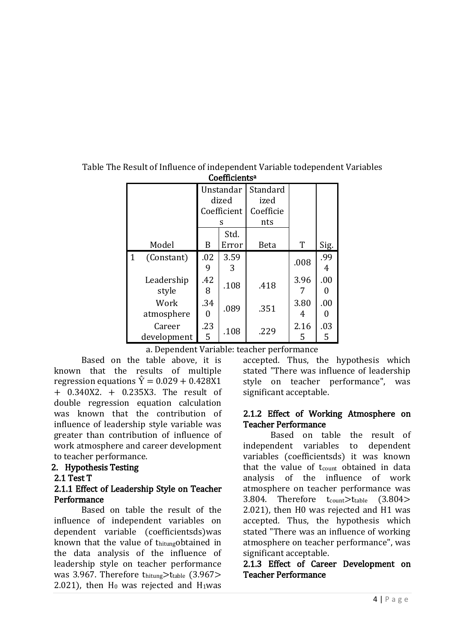|              |                       | Unstandar<br>dized |           | Standard<br>ized |           |          |  |  |
|--------------|-----------------------|--------------------|-----------|------------------|-----------|----------|--|--|
|              |                       | Coefficient        |           | Coefficie        |           |          |  |  |
|              |                       | S                  |           | nts              |           |          |  |  |
|              |                       |                    | Std.      |                  |           |          |  |  |
|              | Model                 | B                  | Error     | <b>Beta</b>      | T         | Sig.     |  |  |
| $\mathbf{1}$ | (Constant)            | .02<br>9           | 3.59<br>3 |                  | .008      | .99<br>4 |  |  |
|              | Leadership<br>style   | .42<br>8           | .108      | .418             | 3.96      | .00<br>O |  |  |
|              | Work<br>atmosphere    | .34                | .089      | .351             | 3.80<br>4 | .00      |  |  |
|              | Career<br>development | .23<br>5           | .108      | .229             | 2.16<br>5 | .03<br>5 |  |  |

Table The Result of Influence of independent Variable todependent Variables Coefficients<sup>a</sup>

a. Dependent Variable: teacher performance

Based on the table above, it is known that the results of multiple regression equations  $\hat{Y} = 0.029 + 0.428X1$ + 0.340X2. + 0.235X3. The result of double regression equation calculation was known that the contribution of influence of leadership style variable was greater than contribution of influence of work atmosphere and career development to teacher performance.

# 2. Hypothesis Testing

#### 2.1 Test T

#### 2.1.1 Effect of Leadership Style on Teacher **Performance**

Based on table the result of the influence of independent variables on dependent variable (coefficientsds)was known that the value of thitungobtained in the data analysis of the influence of leadership style on teacher performance was 3.967. Therefore thitung>ttable (3.967> 2.021), then  $H_0$  was rejected and  $H_1$ was

accepted. Thus, the hypothesis which stated "There was influence of leadership style on teacher performance", was significant acceptable.

### 2.1.2 Effect of Working Atmosphere on Teacher Performance

Based on table the result of independent variables to dependent variables (coefficientsds) it was known that the value of t<sub>count</sub> obtained in data analysis of the influence of work atmosphere on teacher performance was 3.804. Therefore t<sub>count</sub>>ttable (3.804> 2.021), then H0 was rejected and H1 was accepted. Thus, the hypothesis which stated "There was an influence of working atmosphere on teacher performance", was significant acceptable.

### 2.1.3 Effect of Career Development on Teacher Performance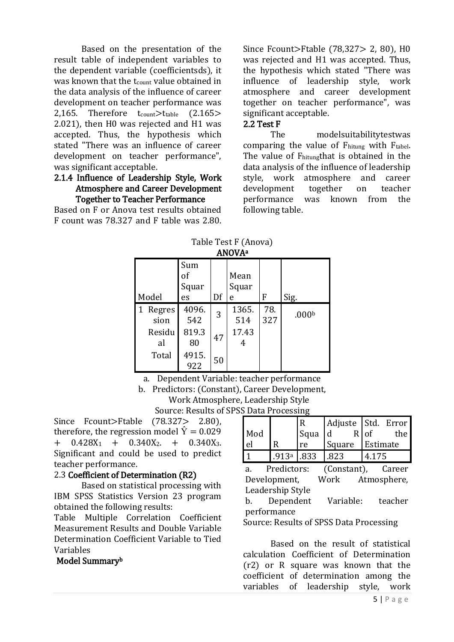Based on the presentation of the result table of independent variables to the dependent variable (coefficientsds), it was known that the t<sub>count</sub> value obtained in the data analysis of the influence of career development on teacher performance was 2,165. Therefore  $t_{\text{count}} > t_{\text{table}}$  (2.165> 2.021), then H0 was rejected and H1 was accepted. Thus, the hypothesis which stated "There was an influence of career development on teacher performance", was significant acceptable.

#### 2.1.4 Influence of Leadership Style, Work Atmosphere and Career Development Together to Teacher Performance

Based on F or Anova test results obtained F count was 78.327 and F table was 2.80.

Since Fcount>Ftable (78,327> 2, 80), H0 was rejected and H1 was accepted. Thus, the hypothesis which stated "There was influence of leadership style, work atmosphere and career development together on teacher performance", was significant acceptable.

### 2.2 Test F

The modelsuitabilitytestwas comparing the value of Fhitung with Ftabel. The value of Fhitungthat is obtained in the data analysis of the influence of leadership style, work atmosphere and career development together on teacher performance was known from the following table.

| Table Test Printing<br><b>ANOVA</b> <sup>a</sup> |                          |    |                    |            |                   |  |  |  |
|--------------------------------------------------|--------------------------|----|--------------------|------------|-------------------|--|--|--|
| Model                                            | Sum<br>of<br>Squar<br>es | Df | Mean<br>Squar<br>e | F          | Sig.              |  |  |  |
| Regres<br>sion                                   | 4096.<br>542             | 3  | 1365.<br>514       | 78.<br>327 | .000 <sub>b</sub> |  |  |  |
| Residu<br>al                                     | 819.3<br>80              | 47 | 17.43<br>4         |            |                   |  |  |  |
| Total                                            | 4915.<br>922             | 50 |                    |            |                   |  |  |  |

 $Table T<sub>oct</sub> F (Area)$ 

a. Dependent Variable: teacher performance

b. Predictors: (Constant), Career Development, Work Atmosphere, Leadership Style

Source: Results of SPSS Data Processing

Since Fcount>Ftable (78.327> 2.80), therefore, the regression model  $\hat{Y} = 0.029$  $+$  0.428X<sub>1</sub> + 0.340X<sub>2</sub>, + 0.340X<sub>3</sub>. Significant and could be used to predict teacher performance.

# 2.3 Coefficient of Determination (R2)

Based on statistical processing with IBM SPSS Statistics Version 23 program obtained the following results:

Table Multiple Correlation Coefficient Measurement Results and Double Variable Determination Coefficient Variable to Tied Variables

#### Model Summary<sup>b</sup>

|     |       |           |        | Adjuste Std. Error |  |
|-----|-------|-----------|--------|--------------------|--|
| Mod |       | Squa $ d$ |        | the<br>R of        |  |
|     |       | re        | Square | Estimate           |  |
|     | .913a | 833       | 823    |                    |  |

a. Predictors: (Constant), Career Development, Work Atmosphere, Leadership Style

b. Dependent Variable: teacher performance

Source: Results of SPSS Data Processing

Based on the result of statistical calculation Coefficient of Determination (r2) or R square was known that the coefficient of determination among the variables of leadership style, work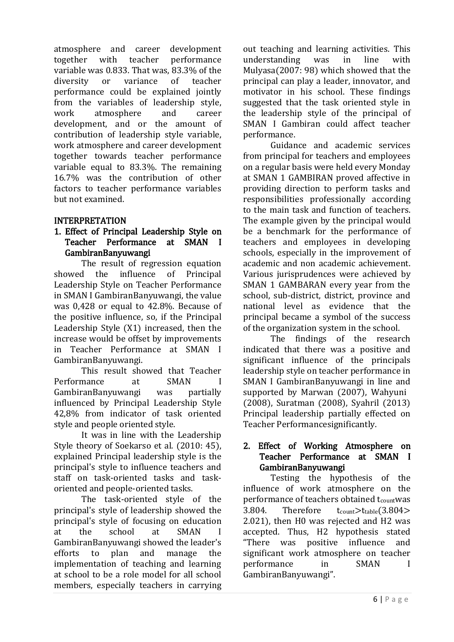atmosphere and career development together with teacher performance variable was 0.833. That was, 83.3% of the diversity or variance of teacher performance could be explained jointly from the variables of leadership style,<br>work atmosphere and career work atmosphere development, and or the amount of contribution of leadership style variable, work atmosphere and career development together towards teacher performance variable equal to 83.3%. The remaining 16.7% was the contribution of other factors to teacher performance variables but not examined.

# INTERPRETATION

# 1. Effect of Principal Leadership Style on Teacher Performance at SMAN I GambiranBanyuwangi

The result of regression equation showed the influence of Principal Leadership Style on Teacher Performance in SMAN I GambiranBanyuwangi, the value was 0,428 or equal to 42.8%. Because of the positive influence, so, if the Principal Leadership Style (X1) increased, then the increase would be offset by improvements in Teacher Performance at SMAN I GambiranBanyuwangi.

This result showed that Teacher Performance at SMAN GambiranBanyuwangi was partially influenced by Principal Leadership Style 42,8% from indicator of task oriented style and people oriented style.

It was in line with the Leadership Style theory of Soekarso et al. (2010: 45), explained Principal leadership style is the principal's style to influence teachers and staff on task-oriented tasks and taskoriented and people-oriented tasks.

The task-oriented style of the principal's style of leadership showed the principal's style of focusing on education at the school at SMAN I GambiranBanyuwangi showed the leader's efforts to plan and manage the implementation of teaching and learning at school to be a role model for all school members, especially teachers in carrying

out teaching and learning activities. This understanding was in line with Mulyasa(2007: 98) which showed that the principal can play a leader, innovator, and motivator in his school. These findings suggested that the task oriented style in the leadership style of the principal of SMAN I Gambiran could affect teacher performance.

Guidance and academic services from principal for teachers and employees on a regular basis were held every Monday at SMAN 1 GAMBIRAN proved affective in providing direction to perform tasks and responsibilities professionally according to the main task and function of teachers. The example given by the principal would be a benchmark for the performance of teachers and employees in developing schools, especially in the improvement of academic and non academic achievement. Various jurisprudences were achieved by SMAN 1 GAMBARAN every year from the school, sub-district, district, province and national level as evidence that the principal became a symbol of the success of the organization system in the school.

The findings of the research indicated that there was a positive and significant influence of the principals leadership style on teacher performance in SMAN I GambiranBanyuwangi in line and supported by Marwan (2007), Wahyuni (2008), Suratman (2008), Syahril (2013) Principal leadership partially effected on Teacher Performancesignificantly.

### 2. Effect of Working Atmosphere on Teacher Performance at SMAN I GambiranBanyuwangi

Testing the hypothesis of the influence of work atmosphere on the performance of teachers obtained tcountwas 3.804. Therefore  $t_{count} > t_{table}(3.804 >$ 2.021), then H0 was rejected and H2 was accepted. Thus, H2 hypothesis stated "There was positive influence and significant work atmosphere on teacher performance in SMAN I GambiranBanyuwangi".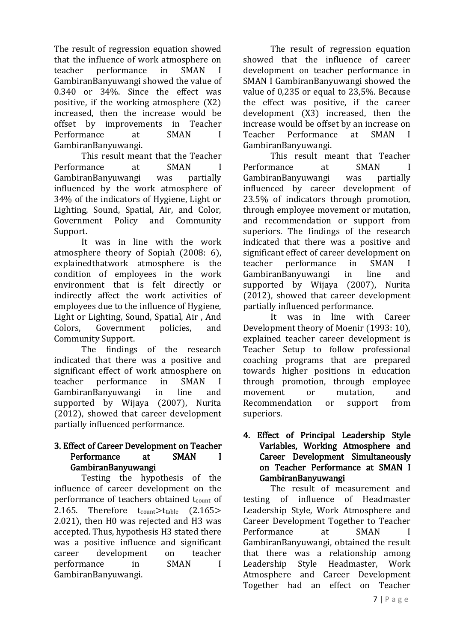The result of regression equation showed that the influence of work atmosphere on teacher performance in SMAN I GambiranBanyuwangi showed the value of 0.340 or 34%. Since the effect was positive, if the working atmosphere (X2) increased, then the increase would be offset by improvements in Teacher Performance at SMAN I GambiranBanyuwangi.

This result meant that the Teacher<br>mance at SMAN I Performance at GambiranBanyuwangi was partially influenced by the work atmosphere of 34% of the indicators of Hygiene, Light or Lighting, Sound, Spatial, Air, and Color, Government Policy and Community Support.

It was in line with the work atmosphere theory of Sopiah (2008: 6), explainedthatwork atmosphere is the condition of employees in the work environment that is felt directly or indirectly affect the work activities of employees due to the influence of Hygiene, Light or Lighting, Sound, Spatial, Air , And Colors, Government policies, and Community Support.

The findings of the research indicated that there was a positive and significant effect of work atmosphere on teacher performance in SMAN I GambiranBanyuwangi in line and supported by Wijaya (2007), Nurita (2012), showed that career development partially influenced performance.

# 3. Effect of Career Development on Teacher Performance at SMAN I GambiranBanyuwangi

Testing the hypothesis of the influence of career development on the performance of teachers obtained tcount of 2.165. Therefore  $t_{\text{count}} > t_{\text{table}}$  (2.165> 2.021), then H0 was rejected and H3 was accepted. Thus, hypothesis H3 stated there was a positive influence and significant career development on teacher performance in SMAN I GambiranBanyuwangi.

The result of regression equation showed that the influence of career development on teacher performance in SMAN I GambiranBanyuwangi showed the value of 0,235 or equal to 23,5%. Because the effect was positive, if the career development (X3) increased, then the increase would be offset by an increase on Teacher Performance at SMAN I GambiranBanyuwangi.

This result meant that Teacher Performance at SMAN GambiranBanyuwangi was partially influenced by career development of 23.5% of indicators through promotion, through employee movement or mutation, and recommendation or support from superiors. The findings of the research indicated that there was a positive and significant effect of career development on teacher performance in SMAN I GambiranBanyuwangi in line and supported by Wijaya (2007), Nurita (2012), showed that career development partially influenced performance.

It was in line with Career Development theory of Moenir (1993: 10), explained teacher career development is Teacher Setup to follow professional coaching programs that are prepared towards higher positions in education through promotion, through employee movement or mutation, and Recommendation or support from superiors.

### 4. Effect of Principal Leadership Style Variables, Working Atmosphere and Career Development Simultaneously on Teacher Performance at SMAN I GambiranBanyuwangi

The result of measurement and testing of influence of Headmaster Leadership Style, Work Atmosphere and Career Development Together to Teacher Performance at SMAN GambiranBanyuwangi, obtained the result that there was a relationship among Leadership Style Headmaster, Work Atmosphere and Career Development Together had an effect on Teacher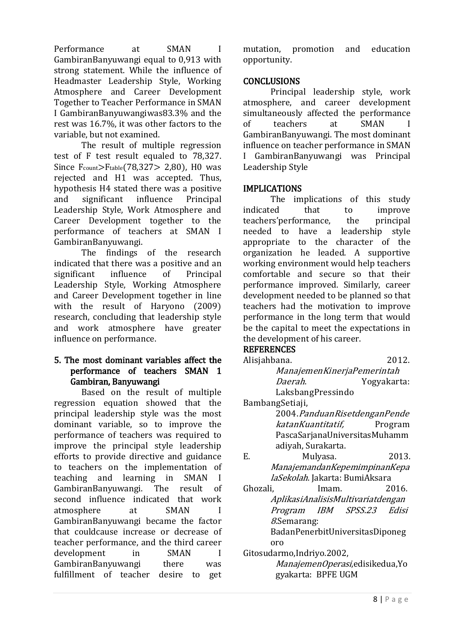Performance at SMAN I GambiranBanyuwangi equal to 0,913 with strong statement. While the influence of Headmaster Leadership Style, Working Atmosphere and Career Development Together to Teacher Performance in SMAN I GambiranBanyuwangiwas83.3% and the rest was 16.7%, it was other factors to the variable, but not examined.

The result of multiple regression test of F test result equaled to 78,327. Since  $F_{\text{count}}$ > $F_{\text{table}}$ (78,327> 2,80), H0 was rejected and H1 was accepted. Thus, hypothesis H4 stated there was a positive and significant influence Principal Leadership Style, Work Atmosphere and Career Development together to the performance of teachers at SMAN I GambiranBanyuwangi.

The findings of the research indicated that there was a positive and an significant influence of Principal Leadership Style, Working Atmosphere and Career Development together in line with the result of Haryono (2009) research, concluding that leadership style and work atmosphere have greater influence on performance.

### 5. The most dominant variables affect the performance of teachers SMAN 1 Gambiran, Banyuwangi

Based on the result of multiple regression equation showed that the principal leadership style was the most dominant variable, so to improve the performance of teachers was required to improve the principal style leadership efforts to provide directive and guidance to teachers on the implementation of teaching and learning in SMAN I GambiranBanyuwangi. The result of second influence indicated that work atmosphere at SMAN I GambiranBanyuwangi became the factor that couldcause increase or decrease of teacher performance, and the third career development in SMAN I GambiranBanyuwangi there was fulfillment of teacher desire to get

mutation, promotion and education opportunity.

# **CONCLUSIONS**

Principal leadership style, work atmosphere, and career development simultaneously affected the performance<br>of teachers at SMAN I of teachers at GambiranBanyuwangi. The most dominant influence on teacher performance in SMAN I GambiranBanyuwangi was Principal Leadership Style

# IMPLICATIONS

The implications of this study indicated that to improve teachers'performance, the principal needed to have a leadership style appropriate to the character of the organization he leaded. A supportive working environment would help teachers comfortable and secure so that their performance improved. Similarly, career development needed to be planned so that teachers had the motivation to improve performance in the long term that would be the capital to meet the expectations in the development of his career.

# **REFERENCES**

- Alisjahbana. 2012. ManajemenKinerjaPemerintah Daerah. Yogyakarta: LaksbangPressindo
- BambangSetiaji,

2004.PanduanRisetdenganPende katanKuantitatif, Program PascaSarjanaUniversitasMuhamm adiyah, Surakarta.

- E. Mulyasa. 2013. ManajemandanKepemimpinanKepa laSekolah. Jakarta: BumiAksara
- Ghozali, Imam. 2016. AplikasiAnalisisMultivariatdengan Program IBM SPSS.23 Edisi 8.Semarang: BadanPenerbitUniversitasDiponeg

oro

Gitosudarmo,Indriyo.2002, ManajemenOperasi,edisikedua,Yo gyakarta: BPFE UGM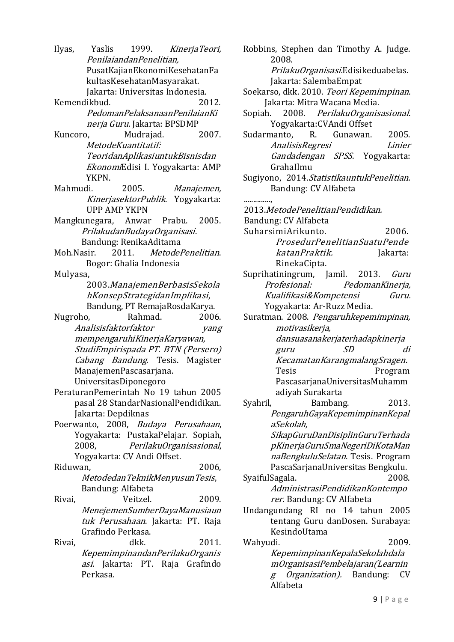Ilyas, Yaslis 1999. KinerjaTeori, PenilaiandanPenelitian, PusatKajianEkonomiKesehatanFa kultasKesehatanMasyarakat. Jakarta: Universitas Indonesia.

Kemendikbud. 2012. PedomanPelaksanaanPenilaianKi nerja Guru. Jakarta: BPSDMP

Kuncoro, Mudrajad. 2007. MetodeKuantitatif: TeoridanAplikasiuntukBisnisdan EkonomiEdisi I. Yogyakarta: AMP YKPN.

- Mahmudi. 2005. Manajemen, KinerjasektorPublik. Yogyakarta: UPP AMP YKPN
- Mangkunegara, Anwar Prabu. 2005. PrilakudanBudayaOrganisasi. Bandung: RenikaAditama
- Moh.Nasir. 2011. MetodePenelitian. Bogor: Ghalia Indonesia

Mulyasa,

2003.ManajemenBerbasisSekola hKonsepStrategidanImplikasi, Bandung, PT RemajaRosdaKarya.

Nugroho, Rahmad. 2006. Analisisfaktorfaktor yang mempengaruhiKinerjaKaryawan, StudiEmpirispada PT. BTN (Persero) Cabang Bandung. Tesis. Magister ManajemenPascasarjana. UniversitasDiponegoro

- PeraturanPemerintah No 19 tahun 2005 pasal 28 StandarNasionalPendidikan. Jakarta: Depdiknas
- Poerwanto, 2008, Budaya Perusahaan, Yogyakarta: PustakaPelajar. Sopiah, 2008, PerilakuOrganisasional, Yogyakarta: CV Andi Offset.

Riduwan, 2006, MetodedanTeknikMenyusunTesis, Bandung: Alfabeta

Rivai, Veitzel. 2009. MenejemenSumberDayaManusiaun tuk Perusahaan. Jakarta: PT. Raja Grafindo Perkasa.

Rivai, dkk. 2011. KepemimpinandanPerilakuOrganis asi. Jakarta: PT. Raja Grafindo Perkasa.

Robbins, Stephen dan Timothy A. Judge. 2008. PrilakuOrganisasi.Edisikeduabelas. Jakarta: SalembaEmpat Soekarso, dkk. 2010. Teori Kepemimpinan. Jakarta: Mitra Wacana Media. Sopiah. 2008. PerilakuOrganisasional. Yogyakarta:CVAndi Offset Sudarmanto, R. Gunawan. 2005. AnalisisRegresi Linier Gandadengan SPSS. Yogyakarta: GrahaIlmu Sugiyono, 2014.StatistikauntukPenelitian. Bandung: CV Alfabeta .............., 2013.MetodePenelitianPendidikan. Bandung: CV Alfabeta

- SuharsimiArikunto. 2006. ProsedurPenelitianSuatuPende katanPraktik. Jakarta: RinekaCipta.
- Suprihatiningrum, Jamil. 2013. Guru Profesional: PedomanKinerja, Kualifikasi&Kompetensi Guru. Yogyakarta: Ar-Ruzz Media.

Suratman. 2008. Pengaruhkepemimpinan, motivasikerja, dansuasanakerjaterhadapkinerja guru SD di KecamatanKarangmalangSragen. Tesis Program PascasarjanaUniversitasMuhamm adiyah Surakarta

Syahril, Bambang. 2013. PengaruhGayaKepemimpinanKepal aSekolah,

SikapGuruDanDisiplinGuruTerhada pKinerjaGuruSmaNegeriDiKotaMan naBengkuluSelatan. Tesis. Program PascaSarjanaUniversitas Bengkulu.

SyaifulSagala. 2008. AdministrasiPendidikanKontempo rer. Bandung: CV Alfabeta

Undangundang RI no 14 tahun 2005 tentang Guru danDosen. Surabaya: KesindoUtama

Wahyudi. 2009. KepemimpinanKepalaSekolahdala mOrganisasiPembelajaran(Learnin  $g$  Organization). Bandung: CV Alfabeta